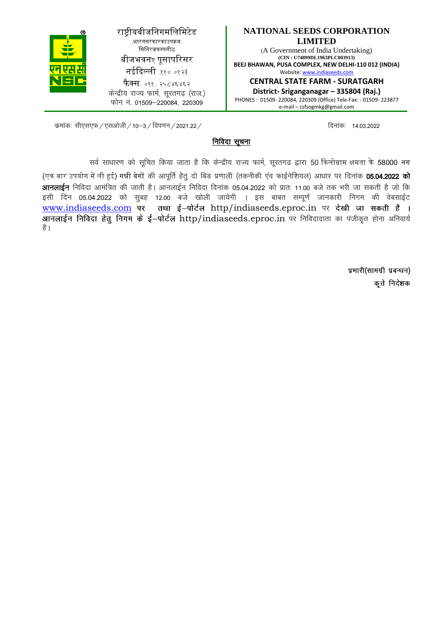**NATIONAL SEEDS CORPORATION LIMITED** (A Government of India Undertaking) **(CIN : U74899DL1963PLC003913) BEEJ BHAWAN, PUSA COMPLEX, NEW DELHI-110 012 (INDIA)** Website: www.indiaseeds.com **CENTRAL STATE FARM - SURATGARH** 

**District- Sriganganagar – 335804 (Raj.)**

PHONES : 01509- 220084, 220309 (Office) Tele-Fax: - 01509- 223877 e-mail – csfsogmkg@gmail.com

राष्ट्रीयबीजनिगमलिमिटेड .<br>भारतसरकारकाउपक्रम मिनिरत्नकम्पनीद्ध बीजभवनए पुसापरिसर नईदिल्ली ११० ०१२। **फैक्स**. ०११. २५८४६४६२

केन्द्रीय राज्य फार्म, सरतगढ (राज.) फोन न. 01509-220084, 220309

: कमांकः सीएसएफ / एसओजी / 10–3 / विपणन / 2021.22 / कमांकः विज्ञातः । 14.03.2022 कमांकः । 14.03.2022

### निविदा सूचना

सर्व साधारण को सूचित किया जाता है कि केन्द्रीय राज्य फार्म, सूरतगढ द्वारा 50 किलोग्राम क्षमता के 58000 नग

(एक बार उपयोग में ली हुई) गन्नी बेगों की आपूर्ति हेतू दो बिड प्रणाली (तकनीकी एव फाईनेशियल) आधार पर दिनांक **05.04.2022 को आनलाईन** निविदा आमंत्रित की जाती है। आनलाईन निविदा दिनांक 05.04.2022 को प्रातः 11.00 बजे तक भरी जा सकती है जो कि इसी दिन 05.04.2022 को सुबह 12.00 बजे खोली जायेगी । इस बाबत सम्पूर्ण जानकारी निगम की वेबसाईट www.indiaseeds.com पर तथा ई-पोर्टल http/indiaseeds.eproc.in पर देखी जा सकती है। आनलाईन निविदा हेतू निगम के ई-पोर्टल http/indiaseeds.eproc.in पर निविदादाता का पंजीकृत होना अनिवार्य है |

> प्रभारी(सामग्री प्रबन्धन) कृते निदेशक

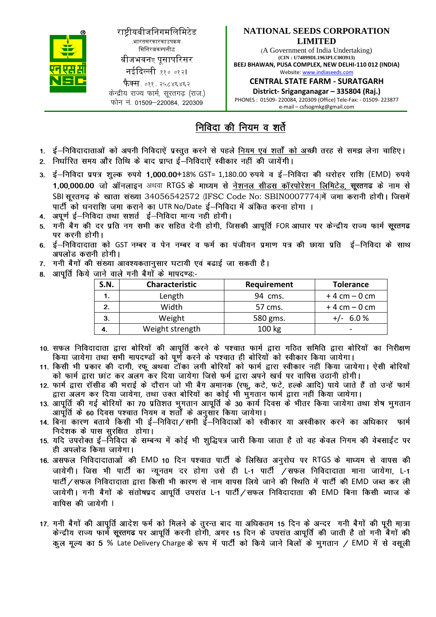

राष्ट्रीयबीजनिगमलिमिटेड (भारतसरकारकाउपक्रम-मिनिरत्नकम्पनीद्ध बीजभवनए पुसापरिसर

नईदिल्ली .११० ०१२।

**फैक्स**. ०११. २५८४६४६२ केन्द्रीय राज्य फार्म, सरतगढ (राज.)  $\overline{p}$ सोन नं 01509–220084 220309

#### **NATIONAL SEEDS CORPORATION LIMITED**

(A Government of India Undertaking) **(CIN : U74899DL1963PLC003913) BEEJ BHAWAN, PUSA COMPLEX, NEW DELHI-110 012 (INDIA)** Website: www.indiaseeds.com

**CENTRAL STATE FARM - SURATGARH District- Sriganganagar – 335804 (Raj.)**

PHONES : 01509- 220084, 220309 (Office) Tele-Fax: - 01509- 223877 e-mail – csfsogmkg@gmail.com

# <u>निविदा</u> की नियम व शर्ते

- 
- निर्धारित समय और तिथि के बाद प्राप्त ई—निविदाऐं स्वीकार नहीं की जायेंगी।
- $\pm$ –निविदा प्रपत्र शल्क रुपये 1.000.00+18% GST= 1.180.00 रुपये व ई–निविदा की धरोहर राशि (EMD) रुपये  $\mathbf{R}$ 1,00,000.00 जो ऑनलाइन अथवा RTGS के माध्यम से नेशनल सीडस कॉरपोरेशन लिमिटेड, सूरतगढ के नाम से SBI सुरतगढ़ के खाता संख्या 34056542572 (IFSC Code No: SBIN0007774)में जमा करानी होगी। जिसमें पार्टी को धनराशि जमा कराने का UTR No/Date ई—निविदा में अंकित करना होगा ।<br>अपूर्ण ई—निविदा तथा सशर्त ई—निविदा मान्य नही होगी।
- $\overline{4}$ .
- गनी बैग की दर प्रति नग सभी कर सहित देनी होगी, जिसकी आपूर्ति FOR आधार पर केन्द्रीय राज्य फार्म सूरतगढ  $5<sub>1</sub>$ पर करनी होगी।
- ई—निविदादाता को GST नम्बर व पेन नम्बर व फर्म का पंजीयन प्रमाण पत्र की छाया प्रति ई—निविदा के साथ<br>अपलोड करानी होगी।  $6.$
- गनी बैगों की संख्या आवश्यकतानुसार घटायी एवं बढाई जा सकती है।  $\overline{7}$ .
- आपर्ति किये जाने वाले गनी बैगों के मापदण्ड:-8.

| S.N. | Characteristic  | Requirement | <b>Tolerance</b> |
|------|-----------------|-------------|------------------|
|      | Length          | 94 cms.     | $+4$ cm $-0$ cm  |
| 2.   | Width           | 57 cms.     | $+4$ cm $-0$ cm  |
| 3.   | Weight          | 580 gms.    | 6.0%<br>$+/-$    |
| 4.   | Weight strength | 100 kg      |                  |

- 10. सफल निविदादाता द्वारा बोरियों की आपूर्ति करने के पश्चात फार्म द्वारा गठित समिति द्वारा बोरियों का निरीक्षण किया जायेगा तथा सभी मापदण्डों को पूर्ण करने के पश्चात ही बोरियों को स्वीकार किया जायेगा।
- 11. किसी भी प्रकार की दागी, रफू अथवा टॉका लगी बोरियों को फार्म द्वारा स्वीकार नहीं किया जायेगा। ऐसी बोरियों को फार्म द्वारा छांट कर अलग कर दिया जायेगा जिसे फर्म द्वारा अपने खर्च पर वापिस उठानी होगी।
- 12. फार्म द्वारा रॉसीड की भराई के दौरान जो भी बैग अमानक (रफ़ू, कटे, फटे, हल्के आदि) पाये जाते हैं तो उन्हें फार्म द्वारा अलग कर दिया जायेगा, तथा उक्त बोरियों का कोई भी भुगतान फार्म द्वारा नहीं किया जायेगा।
- द्वारा जलने कर त्येन जायना, तथा उपरा बार्रवा का काई ना पुनतान काने द्वारा नहीं किया जायना।<br>13. आपूर्ति की गई बोरियों का 70 प्रतिशत भुगतान आपूर्ति के 30 कार्य दिवस के भीतर किया जायेगा तथा शेष भुगतान आपूर्ति के 60 दिवस पश्चात नियम व शर्तों के अनुसार किया जायेगा।
- 14. बिना कारण बताये किसी भी ई—निविदा⁄सभी ई—निविदाओं को स्वीकार या अस्वीकार करने का अधिकार कार्म निदेशक के पास सुरक्षित होगा।
- 15. यदि उपरोक्त ई—निविदा के सम्बन्ध में कोई भी शुद्धिपत्र जारी किया जाता है तो वह केवल निगम की वेबसाईट पर ही अपलोड किया जायेगा।
- 16. असफल निविदादाताओं की EMD 10 दिन पश्चात पार्टी के लिखित अनूरोध पर RTGS के माध्यम से वापस की जायेगी। जिस भी पार्टी का न्युनतम दर होगा उसे ही L-1 पार्टी /सफल निविदादाता माना जायेगा, L-1 पार्टी / सफल निविदादाता द्वारा किसी भी कारण से नाम वापस लिये जाने की स्थिति में पार्टी की EMD जब्त कर ली जायेगी। गनी बैगों के संतोषप्रद आपूर्ति उपरांत L-1 पार्टी / सफल निविदादाता की EMD बिना किसी ब्याज के वापिस की जायेगी ।
- 17. गनी बैगों की आपूर्ति आदेश फर्म को मिलने के तुरन्त बाद या अधिकतम 15 दिन के अन्दर गनी बैगों की पूरी मात्रा केन्द्रीय राज्य फार्म सूरतगढ पर आपूर्ति करनी होगी, अगर 15 दिन के उपरांत आपूर्ति की जाती है तो गनी बैगों की कल मल्य का 5 % Late Delivery Charge के रूप में पार्टी को किये जाने बिलों के भगतान / EMD में से वसली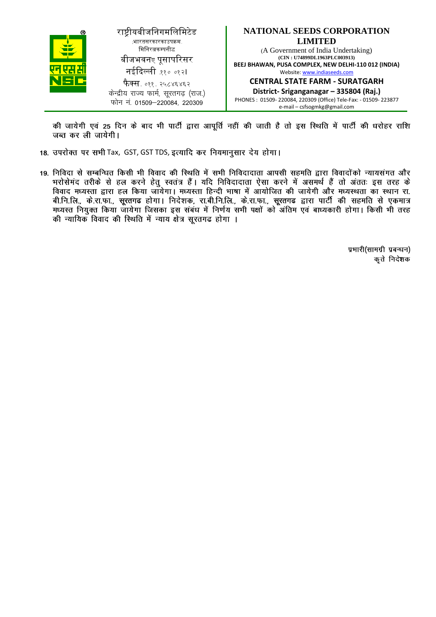

राष्ट्रीयबीजनिगमलिमिटेड (भारतसरकारकाउपक्रम-मिनिरत्नकम्पनीद्ध बीजभवनए पुसापरिसर नईदिल्ली ११० ०१२। **फैक्स**. ०११. २५८४६४६२ केन्द्रीय राज्य फार्म, सरतगढ (राज.)

फोन न. 01509-220084, 220309



PHONES : 01509- 220084, 220309 (Office) Tele-Fax: - 01509- 223877 e-mail – csfsogmkg@gmail.com

की जायेगी एवं 25 दिन के बाद भी पार्टी द्वारा आपूर्ति नहीं की जाती है तो इस स्थिति में पार्टी की धरोहर राशि जब्त कर ली जायेगी।

- 18. उपरोक्त पर सभी Tax, GST, GST TDS, इत्यादि कर नियमानुसार देय होगा।
- 19. निविदा से सम्बन्धित किसी भी विवाद की स्थिति में सभी निविदादाता आपसी सहमति द्वारा विवादोंको न्यायसंगत और भरोसेमंद तरीके से हल करने हेतू स्वतंत्र हैं। यदि निविदादाता ऐसा करने में असमर्थ हैं तो अंततः इस तरह के विवाद मध्यस्ता द्वारा हल किया जायेगा। मध्यस्ता हिन्दी भाषा में आयोजित की जायेगी और मध्यस्थता का स्थान रा. बी.नि.लि., के.रा.फा., सूरतगढ होगा। निदेशक, रा.बी.नि.लि., के.रा.फा., सूरतगढ द्वारा पार्टी की सहमति से एकमात्र<br>मध्यस्त नियुक्त किया जायेगा जिसका इस संबंध में निर्णय सभी पक्षों को अंतिम एवं बाध्यकारी होगा। किसी भी तरह की न्यायिक विवाद की स्थिति में न्याय क्षेत्र सूरतगढ होगा ।

प्रभारी(सामग्री प्रबन्धन) कृते निदेशक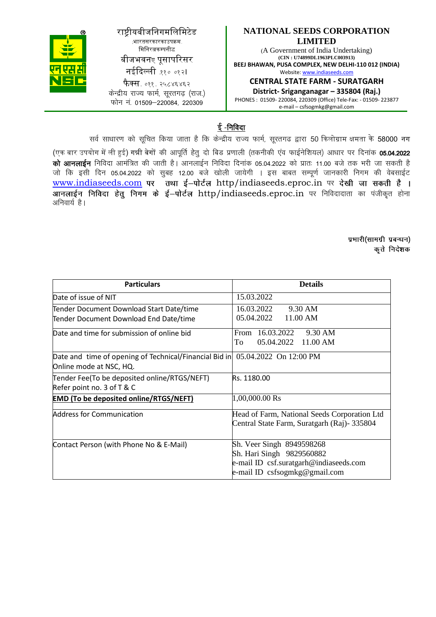## राष्ट्रीयबीजनिगमलिमिटेड .<br>भारतसरकारकाउपक्रम मिनिरत्नकम्पनीद्ध बीजभवनए पुसापरिसर नईदिल्ली ११० ०१२।

**फैक्स**. ०११. २५८४६४६२ केन्द्रीय राज्य फार्म, सरतगढ (राज.)  $\overline{p}$ कोन नं. 01509–220084, 220309

#### **NATIONAL SEEDS CORPORATION LIMITED**

(A Government of India Undertaking) **(CIN : U74899DL1963PLC003913) BEEJ BHAWAN, PUSA COMPLEX, NEW DELHI-110 012 (INDIA)** Website: www.indiaseeds.com

**CENTRAL STATE FARM - SURATGARH** 

**District- Sriganganagar – 335804 (Raj.)** PHONES : 01509- 220084, 220309 (Office) Tele-Fax: - 01509- 223877 e-mail – csfsogmkg@gmail.com

ई-निविदा

सर्व साधारण को सूचित किया जाता है कि केन्द्रीय राज्य फार्म, सूरतगढ द्वारा 50 किलोग्राम क्षमता के 58000 नग

(एक बार उपयोग में ली हुई) गन्नी बेगों की आपूर्ति हेतु दो बिड प्रणाली (तकनीकी एव फाईनेशियल) आधार पर दिनांक 05.04.2022 को आनलाईन निविदा आमंत्रित की जाती है। आनलाईन निविदा दिनांक 05.04.2022 को प्रातः 11.00 बजे तक भरी जा सकती है जो कि इसी दिन 05.04.2022 को सुबह 12.00 बजे खोली जायेगी । इस बाबत सम्पूर्ण जानकारी निगम की वेबसाईट www.indiaseeds.com पर तथा ई-पोर्टल http/indiaseeds.eproc.in पर देखी जा सकती है। where the control of the indication of the maintain and the setting the setting of the setting the setting of अनिवार्य है।

> प्रभारी(सामग्री प्रबन्धन) कृते निदेशक

| <b>Particulars</b>                                                            | <b>Details</b>                               |  |  |
|-------------------------------------------------------------------------------|----------------------------------------------|--|--|
| Date of issue of NIT                                                          | 15.03.2022                                   |  |  |
| Tender Document Download Start Date/time                                      | 9.30 AM<br>16.03.2022                        |  |  |
| Tender Document Download End Date/time                                        | 05.04.2022<br>11.00 AM                       |  |  |
| Date and time for submission of online bid                                    | From 16.03.2022<br>9.30 AM                   |  |  |
|                                                                               | 05.04.2022 11.00 AM<br>To                    |  |  |
| Date and time of opening of Technical/Financial Bid in 05.04.2022 On 12:00 PM |                                              |  |  |
| Online mode at NSC, HQ.                                                       |                                              |  |  |
| Tender Fee(To be deposited online/RTGS/NEFT)                                  | Rs. 1180.00                                  |  |  |
| Refer point no. 3 of T & C                                                    |                                              |  |  |
| <b>EMD (To be deposited online/RTGS/NEFT)</b>                                 | 1,00,000.00 Rs                               |  |  |
| Address for Communication                                                     | Head of Farm, National Seeds Corporation Ltd |  |  |
|                                                                               | Central State Farm, Suratgarh (Raj)- 335804  |  |  |
| Contact Person (with Phone No & E-Mail)                                       | Sh. Veer Singh 8949598268                    |  |  |
|                                                                               | Sh. Hari Singh 9829560882                    |  |  |
|                                                                               | e-mail ID csf.suratgarh@indiaseeds.com       |  |  |
|                                                                               | e-mail ID csfsogmkg@gmail.com                |  |  |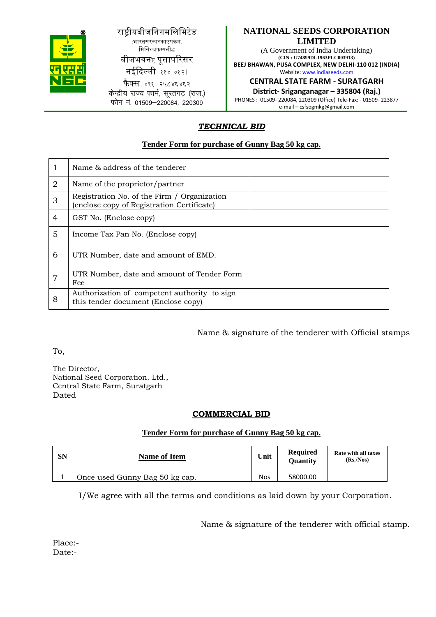

#### राष्ट्रीयबीजनिगमलिमिटेड (भारतसरकारकाउपक्रम-मिनिरत्नकम्पनीद्ध

बीजभवनए पुसापरिसर

नईदिल्ली .११० ०१२।

**फैक्स**. ०११. २५८४६४६२ केन्द्रीय राज्य फार्म, सूरतगढ (राज.) फोन न. 01509-220084, 220309

#### **NATIONAL SEEDS CORPORATION LIMITED**

(A Government of India Undertaking) **(CIN : U74899DL1963PLC003913) BEEJ BHAWAN, PUSA COMPLEX, NEW DELHI-110 012 (INDIA)** Website: www.indiaseeds.com

**CENTRAL STATE FARM - SURATGARH** 

**District- Sriganganagar – 335804 (Raj.)**

PHONES : 01509- 220084, 220309 (Office) Tele-Fax: - 01509- 223877 e-mail – csfsogmkg@gmail.com

## *TECHNICAL BID*

#### **Tender Form for purchase of Gunny Bag 50 kg cap.**

|                | Name & address of the tenderer                                                            |
|----------------|-------------------------------------------------------------------------------------------|
| $\overline{2}$ | Name of the proprietor/partner                                                            |
| 3              | Registration No. of the Firm / Organization<br>(enclose copy of Registration Certificate) |
| 4              | GST No. (Enclose copy)                                                                    |
| 5              | Income Tax Pan No. (Enclose copy)                                                         |
| 6              | UTR Number, date and amount of EMD.                                                       |
| 7              | UTR Number, date and amount of Tender Form<br>Fee                                         |
| 8              | Authorization of competent authority to sign<br>this tender document (Enclose copy)       |

Name & signature of the tenderer with Official stamps

To,

The Director, National Seed Corporation. Ltd., Central State Farm, Suratgarh Dated

#### **COMMERCIAL BID**

#### **Tender Form for purchase of Gunny Bag 50 kg cap.**

| <b>SN</b> | <b>Name of Item</b>            | Unit       | <b>Required</b><br><b>Ouantity</b> | Rate with all taxes<br>(Rs/Nos) |
|-----------|--------------------------------|------------|------------------------------------|---------------------------------|
|           | Once used Gunny Bag 50 kg cap. | <b>Nos</b> | 58000.00                           |                                 |

I/We agree with all the terms and conditions as laid down by your Corporation.

Name & signature of the tenderer with official stamp.

Place:- Date:-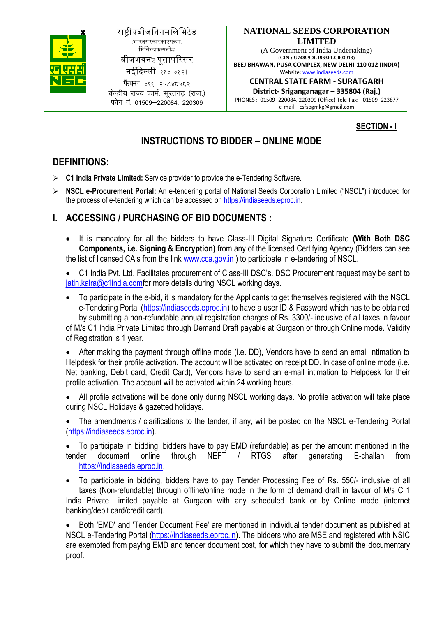

## राष्ट्रीयबीजनिगमलिमिटेड (भारतसरकारकाउपक्रम-मिनिरत्नकम्पनीद्ध

बीजभवनए पुसापरिसर

नईदिल्ली .११० ०१२।

 $\vec{\mathsf{p}}$ क्स. ०११. २५८४६४६२ केन्द्रीय राज्य फार्म, सरतगढ (राज.) फोन नं 01509-220084 220309

#### **NATIONAL SEEDS CORPORATION LIMITED**

(A Government of India Undertaking) **(CIN : U74899DL1963PLC003913) BEEJ BHAWAN, PUSA COMPLEX, NEW DELHI-110 012 (INDIA)** Website: www.indiaseeds.com

**CENTRAL STATE FARM - SURATGARH** 

**District- Sriganganagar – 335804 (Raj.)** PHONES : 01509- 220084, 220309 (Office) Tele-Fax: - 01509- 223877 e-mail – csfsogmkg@gmail.com

## **SECTION - I**

# **INSTRUCTIONS TO BIDDER – ONLINE MODE**

## **DEFINITIONS:**

- **C1 India Private Limited:** Service provider to provide the e-Tendering Software.
- **NSCL e-Procurement Portal:** An e-tendering portal of National Seeds Corporation Limited ("NSCL") introduced for the process of e-tendering which can be accessed on https://indiaseeds.eproc.in.

# **I. ACCESSING / PURCHASING OF BID DOCUMENTS :**

- It is mandatory for all the bidders to have Class-III Digital Signature Certificate **(With Both DSC Components, i.e. Signing & Encryption)** from any of the licensed Certifying Agency (Bidders can see the list of licensed CA's from the link www.cca.gov.in ) to participate in e-tendering of NSCL.
- C1 India Pvt. Ltd. Facilitates procurement of Class-III DSC's. DSC Procurement request may be sent to jatin.kalra@c1india.comfor more details during NSCL working days.
- To participate in the e-bid, it is mandatory for the Applicants to get themselves registered with the NSCL e-Tendering Portal (https://indiaseeds.eproc.in) to have a user ID & Password which has to be obtained by submitting a non-refundable annual registration charges of Rs. 3300/- inclusive of all taxes in favour of M/s C1 India Private Limited through Demand Draft payable at Gurgaon or through Online mode. Validity of Registration is 1 year.

 After making the payment through offline mode (i.e. DD), Vendors have to send an email intimation to Helpdesk for their profile activation. The account will be activated on receipt DD. In case of online mode (i.e. Net banking, Debit card, Credit Card), Vendors have to send an e-mail intimation to Helpdesk for their profile activation. The account will be activated within 24 working hours.

- All profile activations will be done only during NSCL working days. No profile activation will take place during NSCL Holidays & gazetted holidays.
- The amendments / clarifications to the tender, if any, will be posted on the NSCL e-Tendering Portal (https://indiaseeds.eproc.in).

 To participate in bidding, bidders have to pay EMD (refundable) as per the amount mentioned in the tender document online through NEFT / RTGS after generating E-challan from https://indiaseeds.eproc.in.

 To participate in bidding, bidders have to pay Tender Processing Fee of Rs. 550/- inclusive of all taxes (Non-refundable) through offline/online mode in the form of demand draft in favour of M/s C 1 India Private Limited payable at Gurgaon with any scheduled bank or by Online mode (internet banking/debit card/credit card).

 Both 'EMD' and 'Tender Document Fee' are mentioned in individual tender document as published at NSCL e-Tendering Portal (https://indiaseeds.eproc.in). The bidders who are MSE and registered with NSIC are exempted from paying EMD and tender document cost, for which they have to submit the documentary proof.